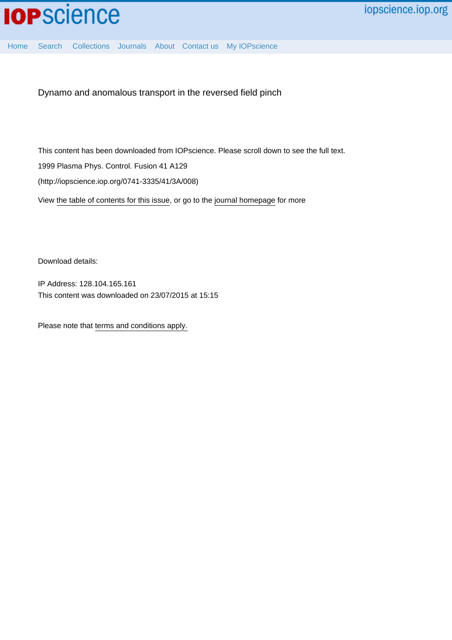

[Home](http://iopscience.iop.org/) [Search](http://iopscience.iop.org/search) [Collections](http://iopscience.iop.org/collections) [Journals](http://iopscience.iop.org/journals) [About](http://iopscience.iop.org/page/aboutioppublishing) [Contact us](http://iopscience.iop.org/contact) [My IOPscience](http://iopscience.iop.org/myiopscience)

Dynamo and anomalous transport in the reversed field pinch

This content has been downloaded from IOPscience. Please scroll down to see the full text. View [the table of contents for this issue](http://iopscience.iop.org/0741-3335/41/3A), or go to the [journal homepage](http://iopscience.iop.org/0741-3335) for more 1999 Plasma Phys. Control. Fusion 41 A129 (http://iopscience.iop.org/0741-3335/41/3A/008)

Download details:

IP Address: 128.104.165.161 This content was downloaded on 23/07/2015 at 15:15

Please note that [terms and conditions apply.](iopscience.iop.org/page/terms)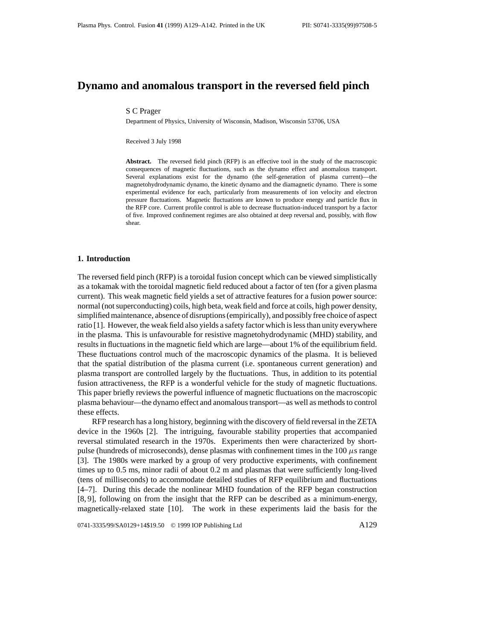# **Dynamo and anomalous transport in the reversed field pinch**

#### S C Prager

Department of Physics, University of Wisconsin, Madison, Wisconsin 53706, USA

Received 3 July 1998

**Abstract.** The reversed field pinch (RFP) is an effective tool in the study of the macroscopic consequences of magnetic fluctuations, such as the dynamo effect and anomalous transport. Several explanations exist for the dynamo (the self-generation of plasma current)—the magnetohydrodynamic dynamo, the kinetic dynamo and the diamagnetic dynamo. There is some experimental evidence for each, particularly from measurements of ion velocity and electron pressure fluctuations. Magnetic fluctuations are known to produce energy and particle flux in the RFP core. Current profile control is able to decrease fluctuation-induced transport by a factor of five. Improved confinement regimes are also obtained at deep reversal and, possibly, with flow shear.

## **1. Introduction**

The reversed field pinch (RFP) is a toroidal fusion concept which can be viewed simplistically as a tokamak with the toroidal magnetic field reduced about a factor of ten (for a given plasma current). This weak magnetic field yields a set of attractive features for a fusion power source: normal (not superconducting) coils, high beta, weak field and force at coils, high power density, simplified maintenance, absence of disruptions (empirically), and possibly free choice of aspect ratio [1]. However, the weak field also yields a safety factor which is less than unity everywhere in the plasma. This is unfavourable for resistive magnetohydrodynamic (MHD) stability, and results in fluctuations in the magnetic field which are large—about 1% of the equilibrium field. These fluctuations control much of the macroscopic dynamics of the plasma. It is believed that the spatial distribution of the plasma current (i.e. spontaneous current generation) and plasma transport are controlled largely by the fluctuations. Thus, in addition to its potential fusion attractiveness, the RFP is a wonderful vehicle for the study of magnetic fluctuations. This paper briefly reviews the powerful influence of magnetic fluctuations on the macroscopic plasma behaviour—the dynamo effect and anomalous transport—as well as methods to control these effects.

RFP research has a long history, beginning with the discovery of field reversal in the ZETA device in the 1960s [2]. The intriguing, favourable stability properties that accompanied reversal stimulated research in the 1970s. Experiments then were characterized by shortpulse (hundreds of microseconds), dense plasmas with confinement times in the 100 *µ*s range [3]. The 1980s were marked by a group of very productive experiments, with confinement times up to 0.5 ms, minor radii of about 0.2 m and plasmas that were sufficiently long-lived (tens of milliseconds) to accommodate detailed studies of RFP equilibrium and fluctuations [4–7]. During this decade the nonlinear MHD foundation of the RFP began construction [8, 9], following on from the insight that the RFP can be described as a minimum-energy, magnetically-relaxed state [10]. The work in these experiments laid the basis for the

0741-3335/99/SA0129+14\$19.50 © 1999 IOP Publishing Ltd A129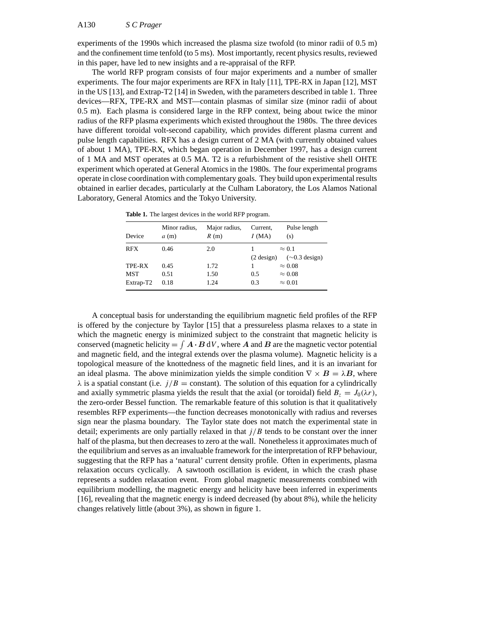## A130 *S C Prager*

experiments of the 1990s which increased the plasma size twofold (to minor radii of 0.5 m) and the confinement time tenfold (to 5 ms). Most importantly, recent physics results, reviewed in this paper, have led to new insights and a re-appraisal of the RFP.

The world RFP program consists of four major experiments and a number of smaller experiments. The four major experiments are RFX in Italy [11], TPE-RX in Japan [12], MST in the US [13], and Extrap-T2 [14] in Sweden, with the parameters described in table 1. Three devices—RFX, TPE-RX and MST—contain plasmas of similar size (minor radii of about 0.5 m). Each plasma is considered large in the RFP context, being about twice the minor radius of the RFP plasma experiments which existed throughout the 1980s. The three devices have different toroidal volt-second capability, which provides different plasma current and pulse length capabilities. RFX has a design current of 2 MA (with currently obtained values of about 1 MA), TPE-RX, which began operation in December 1997, has a design current of 1 MA and MST operates at 0.5 MA. T2 is a refurbishment of the resistive shell OHTE experiment which operated at General Atomics in the 1980s. The four experimental programs operate in close coordination with complementary goals. They build upon experimental results obtained in earlier decades, particularly at the Culham Laboratory, the Los Alamos National Laboratory, General Atomics and the Tokyo University.

|  |  |  |  |  |  |  |  | <b>Table 1.</b> The largest devices in the world RFP program. |
|--|--|--|--|--|--|--|--|---------------------------------------------------------------|
|--|--|--|--|--|--|--|--|---------------------------------------------------------------|

| Device                | Minor radius. | Major radius, | Current,     | Pulse length                         |
|-----------------------|---------------|---------------|--------------|--------------------------------------|
|                       | a(m)          | R(m)          | I(MA)        | (s)                                  |
| <b>RFX</b>            | 0.46          | 2.0           |              | $\approx 0.1$<br>$(\sim 0.3$ design) |
| TPE-RX                | 0.45          | 1.72          | $(2$ design) | $\approx 0.08$                       |
| <b>MST</b>            | 0.51          | 1.50          | 0.5          | $\approx 0.08$                       |
| Extrap-T <sub>2</sub> | 0.18          | 1.24          | 0.3          | $\approx 0.01$                       |

A conceptual basis for understanding the equilibrium magnetic field profiles of the RFP is offered by the conjecture by Taylor [15] that a pressureless plasma relaxes to a state in which the magnetic energy is minimized subject to the constraint that magnetic helicity is conserved (magnetic helicity  $= \int A \cdot B dV$ , where A and B are the magnetic vector potential and magnetic field, and the integral extends over the plasma volume). Magnetic helicity is a topological measure of the knottedness of the magnetic field lines, and it is an invariant for an ideal plasma. The above minimization yields the simple condition  $\nabla \times \mathbf{B} = \lambda \mathbf{B}$ , where  $\lambda$  is a spatial constant (i.e.  $j/B = constant$ ). The solution of this equation for a cylindrically and axially symmetric plasma yields the result that the axial (or toroidal) field  $B_z = J_0(\lambda r)$ , the zero-order Bessel function. The remarkable feature of this solution is that it qualitatively resembles RFP experiments—the function decreases monotonically with radius and reverses sign near the plasma boundary. The Taylor state does not match the experimental state in detail; experiments are only partially relaxed in that *j/B* tends to be constant over the inner half of the plasma, but then decreases to zero at the wall. Nonetheless it approximates much of the equilibrium and serves as an invaluable framework for the interpretation of RFP behaviour, suggesting that the RFP has a 'natural' current density profile. Often in experiments, plasma relaxation occurs cyclically. A sawtooth oscillation is evident, in which the crash phase represents a sudden relaxation event. From global magnetic measurements combined with equilibrium modelling, the magnetic energy and helicity have been inferred in experiments [16], revealing that the magnetic energy is indeed decreased (by about 8%), while the helicity changes relatively little (about 3%), as shown in figure 1.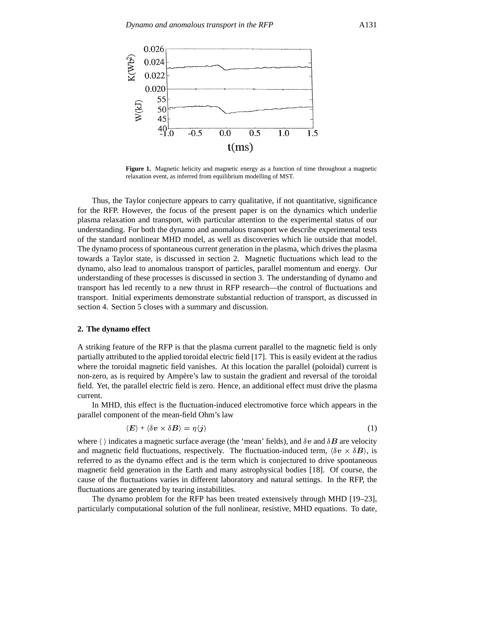

**Figure 1.** Magnetic helicity and magnetic energy as a function of time throughout a magnetic relaxation event, as inferred from equilibrium modelling of MST.

Thus, the Taylor conjecture appears to carry qualitative, if not quantitative, significance for the RFP. However, the focus of the present paper is on the dynamics which underlie plasma relaxation and transport, with particular attention to the experimental status of our understanding. For both the dynamo and anomalous transport we describe experimental tests of the standard nonlinear MHD model, as well as discoveries which lie outside that model. The dynamo process of spontaneous current generation in the plasma, which drives the plasma towards a Taylor state, is discussed in section 2. Magnetic fluctuations which lead to the dynamo, also lead to anomalous transport of particles, parallel momentum and energy. Our understanding of these processes is discussed in section 3. The understanding of dynamo and transport has led recently to a new thrust in RFP research—the control of fluctuations and transport. Initial experiments demonstrate substantial reduction of transport, as discussed in section 4. Section 5 closes with a summary and discussion.

## **2. The dynamo effect**

A striking feature of the RFP is that the plasma current parallel to the magnetic field is only partially attributed to the applied toroidal electric field [17]. This is easily evident at the radius where the toroidal magnetic field vanishes. At this location the parallel (poloidal) current is non-zero, as is required by Ampère's law to sustain the gradient and reversal of the toroidal field. Yet, the parallel electric field is zero. Hence, an additional effect must drive the plasma current.

In MHD, this effect is the fluctuation-induced electromotive force which appears in the parallel component of the mean-field Ohm's law

$$
\langle E \rangle + \langle \delta v \times \delta B \rangle = \eta \langle j \rangle \tag{1}
$$

where  $\langle \rangle$  indicates a magnetic surface average (the 'mean' fields), and  $\delta v$  and  $\delta B$  are velocity and magnetic field fluctuations, respectively. The fluctuation-induced term,  $\langle \delta v \times \delta B \rangle$ , is referred to as the dynamo effect and is the term which is conjectured to drive spontaneous magnetic field generation in the Earth and many astrophysical bodies [18]. Of course, the cause of the fluctuations varies in different laboratory and natural settings. In the RFP, the fluctuations are generated by tearing instabilities.

The dynamo problem for the RFP has been treated extensively through MHD [19–23], particularly computational solution of the full nonlinear, resistive, MHD equations. To date,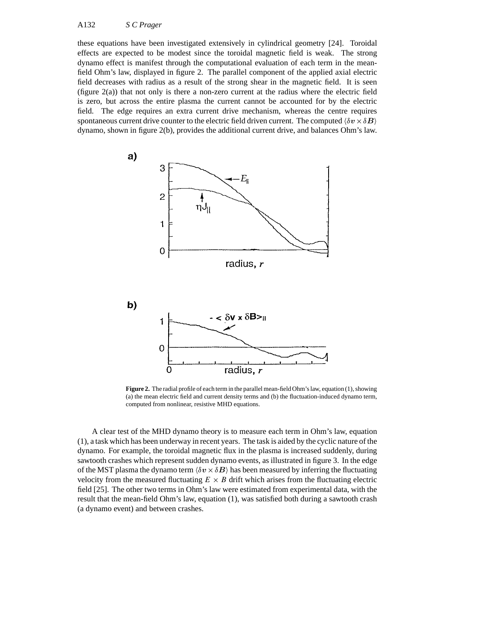#### A132 *S C Prager*

these equations have been investigated extensively in cylindrical geometry [24]. Toroidal effects are expected to be modest since the toroidal magnetic field is weak. The strong dynamo effect is manifest through the computational evaluation of each term in the meanfield Ohm's law, displayed in figure 2. The parallel component of the applied axial electric field decreases with radius as a result of the strong shear in the magnetic field. It is seen (figure 2(a)) that not only is there a non-zero current at the radius where the electric field is zero, but across the entire plasma the current cannot be accounted for by the electric field. The edge requires an extra current drive mechanism, whereas the centre requires spontaneous current drive counter to the electric field driven current. The computed  $\langle \delta v \times \delta B \rangle$ dynamo, shown in figure 2(b), provides the additional current drive, and balances Ohm's law.



**Figure 2.** The radial profile of each term in the parallel mean-field Ohm's law, equation (1), showing (a) the mean electric field and current density terms and (b) the fluctuation-induced dynamo term, computed from nonlinear, resistive MHD equations.

A clear test of the MHD dynamo theory is to measure each term in Ohm's law, equation (1), a task which has been underway in recent years. The task is aided by the cyclic nature of the dynamo. For example, the toroidal magnetic flux in the plasma is increased suddenly, during sawtooth crashes which represent sudden dynamo events, as illustrated in figure 3. In the edge of the MST plasma the dynamo term  $\langle \delta v \times \delta B \rangle$  has been measured by inferring the fluctuating velocity from the measured fluctuating  $E \times B$  drift which arises from the fluctuating electric field [25]. The other two terms in Ohm's law were estimated from experimental data, with the result that the mean-field Ohm's law, equation (1), was satisfied both during a sawtooth crash (a dynamo event) and between crashes.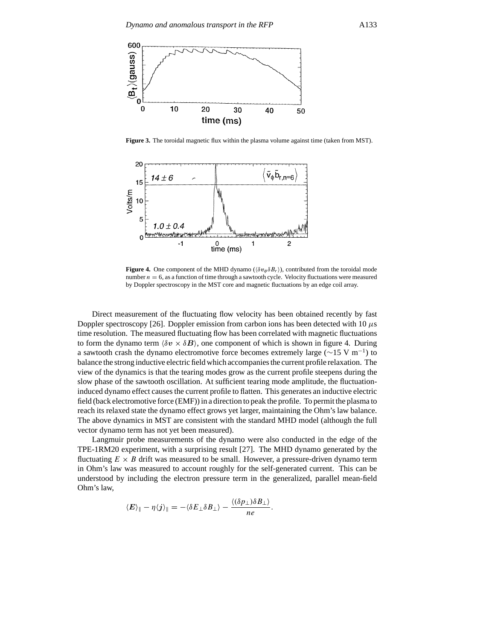

**Figure 3.** The toroidal magnetic flux within the plasma volume against time (taken from MST).



**Figure 4.** One component of the MHD dynamo ( $\langle \delta v_{\phi} \delta B_r \rangle$ ), contributed from the toroidal mode number  $n = 6$ , as a function of time through a sawtooth cycle. Velocity fluctuations were measured by Doppler spectroscopy in the MST core and magnetic fluctuations by an edge coil array.

Direct measurement of the fluctuating flow velocity has been obtained recently by fast Doppler spectroscopy [26]. Doppler emission from carbon ions has been detected with 10 *µ*s time resolution. The measured fluctuating flow has been correlated with magnetic fluctuations to form the dynamo term  $\langle \delta v \times \delta B \rangle$ , one component of which is shown in figure 4. During a sawtooth crash the dynamo electromotive force becomes extremely large ( $\sim$ 15 V m<sup>-1</sup>) to balance the strong inductive electric field which accompanies the current profile relaxation. The view of the dynamics is that the tearing modes grow as the current profile steepens during the slow phase of the sawtooth oscillation. At sufficient tearing mode amplitude, the fluctuationinduced dynamo effect causes the current profile to flatten. This generates an inductive electric field (back electromotive force (EMF)) in a direction to peak the profile. To permit the plasma to reach its relaxed state the dynamo effect grows yet larger, maintaining the Ohm's law balance. The above dynamics in MST are consistent with the standard MHD model (although the full vector dynamo term has not yet been measured).

Langmuir probe measurements of the dynamo were also conducted in the edge of the TPE-1RM20 experiment, with a surprising result [27]. The MHD dynamo generated by the fluctuating  $E \times B$  drift was measured to be small. However, a pressure-driven dynamo term in Ohm's law was measured to account roughly for the self-generated current. This can be understood by including the electron pressure term in the generalized, parallel mean-field Ohm's law,

$$
\langle E \rangle_{\parallel} - \eta \langle j \rangle_{\parallel} = - \langle \delta E_{\perp} \delta B_{\perp} \rangle - \frac{\langle (\delta p_{\perp}) \delta B_{\perp} \rangle}{n e}.
$$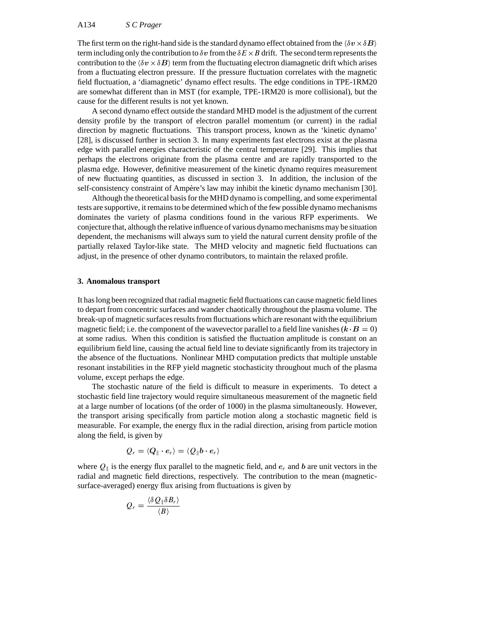The first term on the right-hand side is the standard dynamo effect obtained from the  $\langle \delta v \times \delta B \rangle$ term including only the contribution to  $\delta v$  from the  $\delta E \times B$  drift. The second term represents the contribution to the  $\langle \delta v \times \delta B \rangle$  term from the fluctuating electron diamagnetic drift which arises from a fluctuating electron pressure. If the pressure fluctuation correlates with the magnetic field fluctuation, a 'diamagnetic' dynamo effect results. The edge conditions in TPE-1RM20 are somewhat different than in MST (for example, TPE-1RM20 is more collisional), but the cause for the different results is not yet known.

A second dynamo effect outside the standard MHD model is the adjustment of the current density profile by the transport of electron parallel momentum (or current) in the radial direction by magnetic fluctuations. This transport process, known as the 'kinetic dynamo' [28], is discussed further in section 3. In many experiments fast electrons exist at the plasma edge with parallel energies characteristic of the central temperature [29]. This implies that perhaps the electrons originate from the plasma centre and are rapidly transported to the plasma edge. However, definitive measurement of the kinetic dynamo requires measurement of new fluctuating quantities, as discussed in section 3. In addition, the inclusion of the self-consistency constraint of Ampere's law may inhibit the kinetic dynamo mechanism [30]. `

Although the theoretical basis for the MHD dynamo is compelling, and some experimental tests are supportive, it remains to be determined which of the few possible dynamo mechanisms dominates the variety of plasma conditions found in the various RFP experiments. We conjecture that, although the relative influence of various dynamo mechanisms may be situation dependent, the mechanisms will always sum to yield the natural current density profile of the partially relaxed Taylor-like state. The MHD velocity and magnetic field fluctuations can adjust, in the presence of other dynamo contributors, to maintain the relaxed profile.

#### **3. Anomalous transport**

It has long been recognized that radial magnetic field fluctuations can cause magnetic field lines to depart from concentric surfaces and wander chaotically throughout the plasma volume. The break-up of magnetic surfaces results from fluctuations which are resonant with the equilibrium magnetic field; i.e. the component of the wavevector parallel to a field line vanishes  $(k \cdot B = 0)$ at some radius. When this condition is satisfied the fluctuation amplitude is constant on an equilibrium field line, causing the actual field line to deviate significantly from its trajectory in the absence of the fluctuations. Nonlinear MHD computation predicts that multiple unstable resonant instabilities in the RFP yield magnetic stochasticity throughout much of the plasma volume, except perhaps the edge.

The stochastic nature of the field is difficult to measure in experiments. To detect a stochastic field line trajectory would require simultaneous measurement of the magnetic field at a large number of locations (of the order of 1000) in the plasma simultaneously. However, the transport arising specifically from particle motion along a stochastic magnetic field is measurable. For example, the energy flux in the radial direction, arising from particle motion along the field, is given by

$$
Q_r = \langle Q_{\parallel} \cdot e_r \rangle = \langle Q_{\parallel} b \cdot e_r \rangle
$$

where  $Q_{\parallel}$  is the energy flux parallel to the magnetic field, and  $e_r$  and  $b$  are unit vectors in the radial and magnetic field directions, respectively. The contribution to the mean (magneticsurface-averaged) energy flux arising from fluctuations is given by

$$
Q_r = \frac{\langle \delta Q_{\parallel} \delta B_r \rangle}{\langle B \rangle}
$$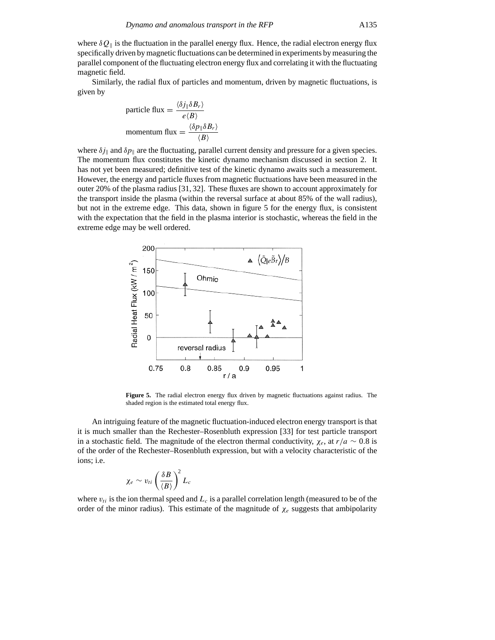where  $\delta Q_{\parallel}$  is the fluctuation in the parallel energy flux. Hence, the radial electron energy flux specifically driven by magnetic fluctuations can be determined in experiments by measuring the parallel component of the fluctuating electron energy flux and correlating it with the fluctuating magnetic field.

Similarly, the radial flux of particles and momentum, driven by magnetic fluctuations, is given by

$$
\text{particle flux} = \frac{\langle \delta j_{\parallel} \delta B_r \rangle}{e \langle B \rangle}
$$
\n
$$
\text{momentum flux} = \frac{\langle \delta p_{\parallel} \delta B_r \rangle}{\langle B \rangle}
$$

where  $\delta j_{\parallel}$  and  $\delta p_{\parallel}$  are the fluctuating, parallel current density and pressure for a given species. The momentum flux constitutes the kinetic dynamo mechanism discussed in section 2. It has not yet been measured; definitive test of the kinetic dynamo awaits such a measurement. However, the energy and particle fluxes from magnetic fluctuations have been measured in the outer 20% of the plasma radius [31, 32]. These fluxes are shown to account approximately for the transport inside the plasma (within the reversal surface at about 85% of the wall radius), but not in the extreme edge. This data, shown in figure 5 for the energy flux, is consistent with the expectation that the field in the plasma interior is stochastic, whereas the field in the extreme edge may be well ordered.



**Figure 5.** The radial electron energy flux driven by magnetic fluctuations against radius. The shaded region is the estimated total energy flux.

An intriguing feature of the magnetic fluctuation-induced electron energy transport is that it is much smaller than the Rechester–Rosenbluth expression [33] for test particle transport in a stochastic field. The magnitude of the electron thermal conductivity,  $\chi_e$ , at  $r/a \sim 0.8$  is of the order of the Rechester–Rosenbluth expression, but with a velocity characteristic of the ions; i.e.

$$
\chi_e \sim v_{ti} \left(\frac{\delta B}{\langle B \rangle}\right)^2 L_c
$$

where  $v_{ti}$  is the ion thermal speed and  $L_c$  is a parallel correlation length (measured to be of the order of the minor radius). This estimate of the magnitude of  $\chi_e$  suggests that ambipolarity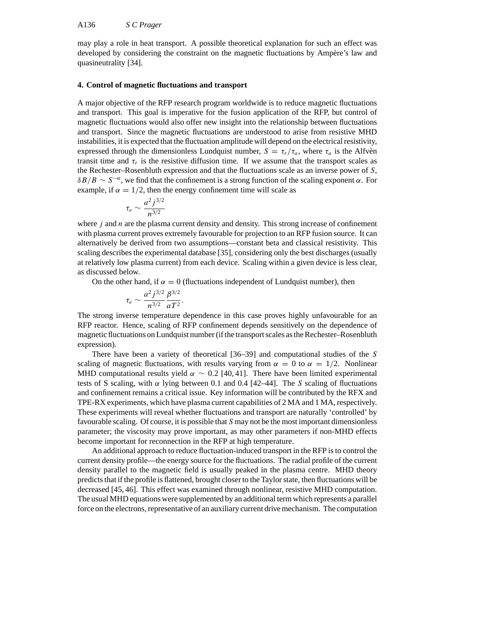may play a role in heat transport. A possible theoretical explanation for such an effect was developed by considering the constraint on the magnetic fluctuations by Ampère's law and quasineutrality [34].

#### **4. Control of magnetic fluctuations and transport**

A major objective of the RFP research program worldwide is to reduce magnetic fluctuations and transport. This goal is imperative for the fusion application of the RFP, but control of magnetic fluctuations would also offer new insight into the relationship between fluctuations and transport. Since the magnetic fluctuations are understood to arise from resistive MHD instabilities, it is expected that the fluctuation amplitude will depend on the electrical resistivity, expressed through the dimensionless Lundquist number,  $S = \tau_r/\tau_a$ , where  $\tau_a$  is the Alfven transit time and  $\tau_r$  is the resistive diffusion time. If we assume that the transport scales as the Rechester–Rosenbluth expression and that the fluctuations scale as an inverse power of *S*,  $\delta B/B \sim S^{-\alpha}$ , we find that the confinement is a strong function of the scaling exponent *α*. For example, if  $\alpha = 1/2$ , then the energy confinement time will scale as

$$
\tau_e \sim \frac{a^2 j^{3/2}}{n^{3/2}}
$$

where *j* and *n* are the plasma current density and density. This strong increase of confinement with plasma current proves extremely favourable for projection to an RFP fusion source. It can alternatively be derived from two assumptions—constant beta and classical resistivity. This scaling describes the experimental database [35], considering only the best discharges (usually at relatively low plasma current) from each device. Scaling within a given device is less clear, as discussed below.

On the other hand, if  $\alpha = 0$  (fluctuations independent of Lundquist number), then

$$
\tau_e \sim \frac{a^2 j^{3/2}}{n^{3/2}} \frac{\beta^{3/2}}{aT^2}.
$$

The strong inverse temperature dependence in this case proves highly unfavourable for an RFP reactor. Hence, scaling of RFP confinement depends sensitively on the dependence of magnetic fluctuations on Lundquist number (if the transport scales as the Rechester–Rosenbluth expression).

There have been a variety of theoretical [36–39] and computational studies of the *S* scaling of magnetic fluctuations, with results varying from  $\alpha = 0$  to  $\alpha = 1/2$ . Nonlinear MHD computational results yield  $\alpha \sim 0.2$  [40, 41]. There have been limited experimental tests of S scaling, with *α* lying between 0.1 and 0.4 [42–44]. The *S* scaling of fluctuations and confinement remains a critical issue. Key information will be contributed by the RFX and TPE-RX experiments, which have plasma current capabilities of 2 MA and 1 MA, respectively. These experiments will reveal whether fluctuations and transport are naturally 'controlled' by favourable scaling. Of course, it is possible that *S* may not be the most important dimensionless parameter; the viscosity may prove important, as may other parameters if non-MHD effects become important for reconnection in the RFP at high temperature.

An additional approach to reduce fluctuation-induced transport in the RFP is to control the current density profile—the energy source for the fluctuations. The radial profile of the current density parallel to the magnetic field is usually peaked in the plasma centre. MHD theory predicts that if the profile is flattened, brought closer to the Taylor state, then fluctuations will be decreased [45, 46]. This effect was examined through nonlinear, resistive MHD computation. The usual MHD equations were supplemented by an additional term which represents a parallel force on the electrons, representative of an auxiliary current drive mechanism. The computation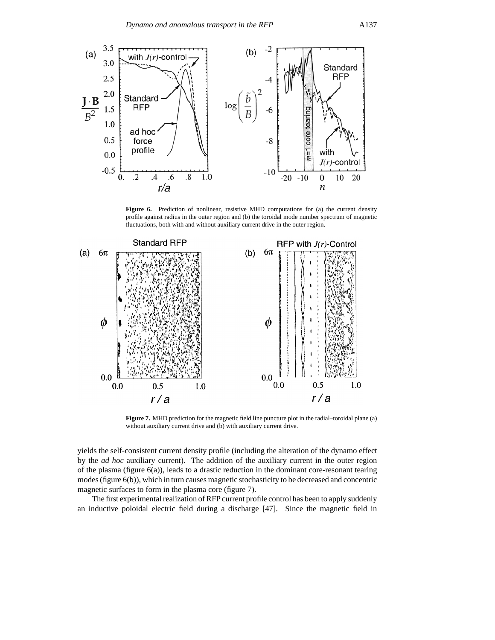

Figure 6. Prediction of nonlinear, resistive MHD computations for (a) the current density profile against radius in the outer region and (b) the toroidal mode number spectrum of magnetic fluctuations, both with and without auxiliary current drive in the outer region.



**Figure 7.** MHD prediction for the magnetic field line puncture plot in the radial–toroidal plane (a) without auxiliary current drive and (b) with auxiliary current drive.

yields the self-consistent current density profile (including the alteration of the dynamo effect by the *ad hoc* auxiliary current). The addition of the auxiliary current in the outer region of the plasma (figure  $6(a)$ ), leads to a drastic reduction in the dominant core-resonant tearing modes (figure 6(b)), which in turn causes magnetic stochasticity to be decreased and concentric magnetic surfaces to form in the plasma core (figure 7).

The first experimental realization of RFP current profile control has been to apply suddenly an inductive poloidal electric field during a discharge [47]. Since the magnetic field in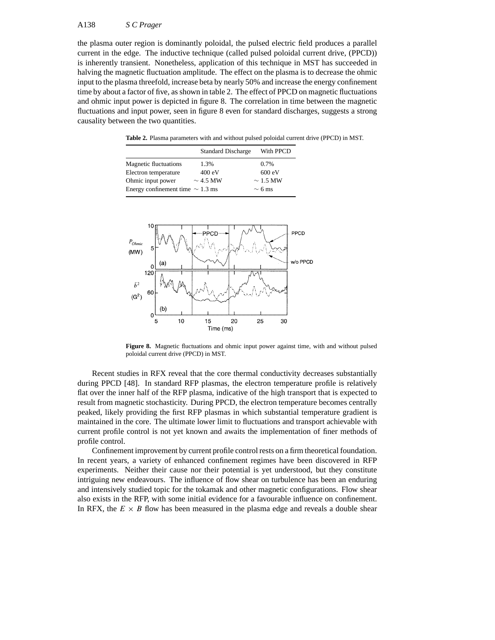## A138 *S C Prager*

the plasma outer region is dominantly poloidal, the pulsed electric field produces a parallel current in the edge. The inductive technique (called pulsed poloidal current drive, (PPCD)) is inherently transient. Nonetheless, application of this technique in MST has succeeded in halving the magnetic fluctuation amplitude. The effect on the plasma is to decrease the ohmic input to the plasma threefold, increase beta by nearly 50% and increase the energy confinement time by about a factor of five, as shown in table 2. The effect of PPCD on magnetic fluctuations and ohmic input power is depicted in figure 8. The correlation in time between the magnetic fluctuations and input power, seen in figure 8 even for standard discharges, suggests a strong causality between the two quantities.

**Table 2.** Plasma parameters with and without pulsed poloidal current drive (PPCD) in MST.

|                                       | <b>Standard Discharge</b> | With PPCD     |
|---------------------------------------|---------------------------|---------------|
| <b>Magnetic fluctuations</b>          | 1.3%                      | $0.7\%$       |
| Electron temperature                  | 400 eV                    | 600 eV        |
| Ohmic input power                     | $\sim$ 4.5 MW             | $\sim 1.5$ MW |
| Energy confinement time $\sim$ 1.3 ms |                           | $\sim$ 6 ms   |



**Figure 8.** Magnetic fluctuations and ohmic input power against time, with and without pulsed poloidal current drive (PPCD) in MST.

Recent studies in RFX reveal that the core thermal conductivity decreases substantially during PPCD [48]. In standard RFP plasmas, the electron temperature profile is relatively flat over the inner half of the RFP plasma, indicative of the high transport that is expected to result from magnetic stochasticity. During PPCD, the electron temperature becomes centrally peaked, likely providing the first RFP plasmas in which substantial temperature gradient is maintained in the core. The ultimate lower limit to fluctuations and transport achievable with current profile control is not yet known and awaits the implementation of finer methods of profile control.

Confinement improvement by current profile control rests on a firm theoretical foundation. In recent years, a variety of enhanced confinement regimes have been discovered in RFP experiments. Neither their cause nor their potential is yet understood, but they constitute intriguing new endeavours. The influence of flow shear on turbulence has been an enduring and intensively studied topic for the tokamak and other magnetic configurations. Flow shear also exists in the RFP, with some initial evidence for a favourable influence on confinement. In RFX, the  $E \times B$  flow has been measured in the plasma edge and reveals a double shear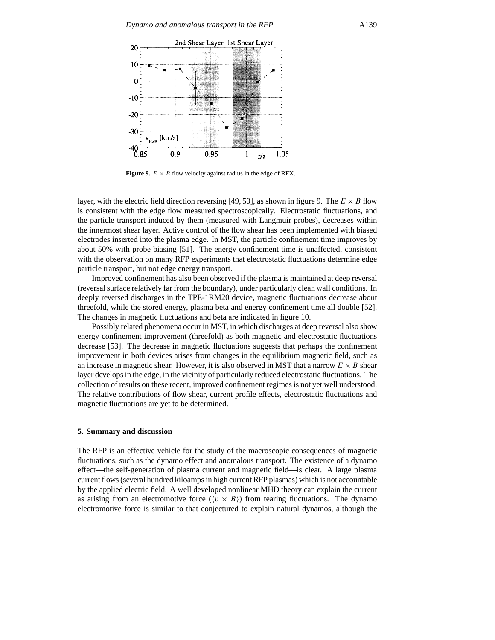

**Figure 9.**  $E \times B$  flow velocity against radius in the edge of RFX.

layer, with the electric field direction reversing [49, 50], as shown in figure 9. The  $E \times B$  flow is consistent with the edge flow measured spectroscopically. Electrostatic fluctuations, and the particle transport induced by them (measured with Langmuir probes), decreases within the innermost shear layer. Active control of the flow shear has been implemented with biased electrodes inserted into the plasma edge. In MST, the particle confinement time improves by about 50% with probe biasing [51]. The energy confinement time is unaffected, consistent with the observation on many RFP experiments that electrostatic fluctuations determine edge particle transport, but not edge energy transport.

Improved confinement has also been observed if the plasma is maintained at deep reversal (reversal surface relatively far from the boundary), under particularly clean wall conditions. In deeply reversed discharges in the TPE-1RM20 device, magnetic fluctuations decrease about threefold, while the stored energy, plasma beta and energy confinement time all double [52]. The changes in magnetic fluctuations and beta are indicated in figure 10.

Possibly related phenomena occur in MST, in which discharges at deep reversal also show energy confinement improvement (threefold) as both magnetic and electrostatic fluctuations decrease [53]. The decrease in magnetic fluctuations suggests that perhaps the confinement improvement in both devices arises from changes in the equilibrium magnetic field, such as an increase in magnetic shear. However, it is also observed in MST that a narrow  $E \times B$  shear layer develops in the edge, in the vicinity of particularly reduced electrostatic fluctuations. The collection of results on these recent, improved confinement regimes is not yet well understood. The relative contributions of flow shear, current profile effects, electrostatic fluctuations and magnetic fluctuations are yet to be determined.

## **5. Summary and discussion**

The RFP is an effective vehicle for the study of the macroscopic consequences of magnetic fluctuations, such as the dynamo effect and anomalous transport. The existence of a dynamo effect—the self-generation of plasma current and magnetic field—is clear. A large plasma current flows (several hundred kiloamps in high current RFP plasmas) which is not accountable by the applied electric field. A well developed nonlinear MHD theory can explain the current as arising from an electromotive force ( $\langle v \times B \rangle$ ) from tearing fluctuations. The dynamo electromotive force is similar to that conjectured to explain natural dynamos, although the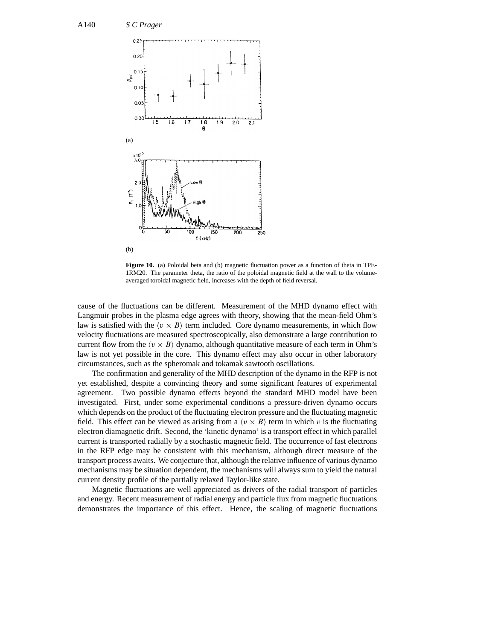

**Figure 10.** (a) Poloidal beta and (b) magnetic fluctuation power as a function of theta in TPE-1RM20. The parameter theta, the ratio of the poloidal magnetic field at the wall to the volumeaveraged toroidal magnetic field, increases with the depth of field reversal.

cause of the fluctuations can be different. Measurement of the MHD dynamo effect with Langmuir probes in the plasma edge agrees with theory, showing that the mean-field Ohm's law is satisfied with the  $\langle v \times B \rangle$  term included. Core dynamo measurements, in which flow velocity fluctuations are measured spectroscopically, also demonstrate a large contribution to current flow from the  $\langle v \times B \rangle$  dynamo, although quantitative measure of each term in Ohm's law is not yet possible in the core. This dynamo effect may also occur in other laboratory circumstances, such as the spheromak and tokamak sawtooth oscillations.

The confirmation and generality of the MHD description of the dynamo in the RFP is not yet established, despite a convincing theory and some significant features of experimental agreement. Two possible dynamo effects beyond the standard MHD model have been investigated. First, under some experimental conditions a pressure-driven dynamo occurs which depends on the product of the fluctuating electron pressure and the fluctuating magnetic field. This effect can be viewed as arising from a  $\langle v \times B \rangle$  term in which *v* is the fluctuating electron diamagnetic drift. Second, the 'kinetic dynamo' is a transport effect in which parallel current is transported radially by a stochastic magnetic field. The occurrence of fast electrons in the RFP edge may be consistent with this mechanism, although direct measure of the transport process awaits. We conjecture that, although the relative influence of various dynamo mechanisms may be situation dependent, the mechanisms will always sum to yield the natural current density profile of the partially relaxed Taylor-like state.

Magnetic fluctuations are well appreciated as drivers of the radial transport of particles and energy. Recent measurement of radial energy and particle flux from magnetic fluctuations demonstrates the importance of this effect. Hence, the scaling of magnetic fluctuations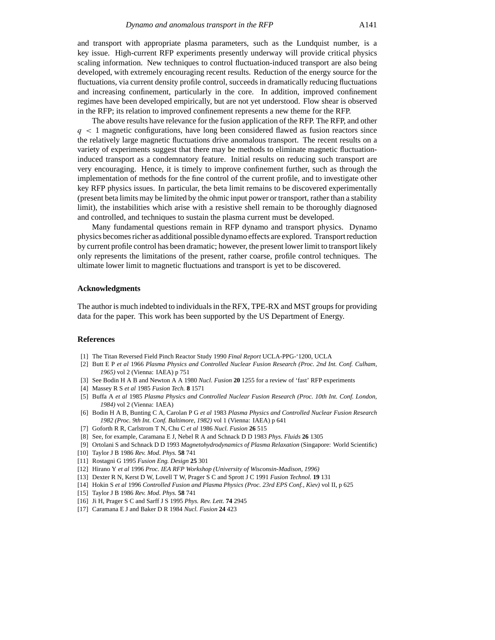and transport with appropriate plasma parameters, such as the Lundquist number, is a key issue. High-current RFP experiments presently underway will provide critical physics scaling information. New techniques to control fluctuation-induced transport are also being developed, with extremely encouraging recent results. Reduction of the energy source for the fluctuations, via current density profile control, succeeds in dramatically reducing fluctuations and increasing confinement, particularly in the core. In addition, improved confinement regimes have been developed empirically, but are not yet understood. Flow shear is observed in the RFP; its relation to improved confinement represents a new theme for the RFP.

The above results have relevance for the fusion application of the RFP. The RFP, and other *q <* 1 magnetic configurations, have long been considered flawed as fusion reactors since the relatively large magnetic fluctuations drive anomalous transport. The recent results on a variety of experiments suggest that there may be methods to eliminate magnetic fluctuationinduced transport as a condemnatory feature. Initial results on reducing such transport are very encouraging. Hence, it is timely to improve confinement further, such as through the implementation of methods for the fine control of the current profile, and to investigate other key RFP physics issues. In particular, the beta limit remains to be discovered experimentally (present beta limits may be limited by the ohmic input power or transport, rather than a stability limit), the instabilities which arise with a resistive shell remain to be thoroughly diagnosed and controlled, and techniques to sustain the plasma current must be developed.

Many fundamental questions remain in RFP dynamo and transport physics. Dynamo physics becomes richer as additional possible dynamo effects are explored. Transport reduction by current profile control has been dramatic; however, the present lower limit to transport likely only represents the limitations of the present, rather coarse, profile control techniques. The ultimate lower limit to magnetic fluctuations and transport is yet to be discovered.

## **Acknowledgments**

The author is much indebted to individuals in the RFX, TPE-RX and MST groups for providing data for the paper. This work has been supported by the US Department of Energy.

## **References**

- [1] The Titan Reversed Field Pinch Reactor Study 1990 *Final Report* UCLA-PPG-'1200, UCLA
- [2] Butt E P *et al* 1966 *Plasma Physics and Controlled Nuclear Fusion Research (Proc. 2nd Int. Conf. Culham, 1965)* vol 2 (Vienna: IAEA) p 751
- [3] See Bodin H A B and Newton A A 1980 *Nucl. Fusion* **20** 1255 for a review of 'fast' RFP experiments
- [4] Massey R S *et al* 1985 *Fusion Tech.* **8** 1571
- [5] Buffa A *et al* 1985 *Plasma Physics and Controlled Nuclear Fusion Research (Proc. 10th Int. Conf. London, 1984)* vol 2 (Vienna: IAEA)
- [6] Bodin H A B, Bunting C A, Carolan P G *et al* 1983 *Plasma Physics and Controlled Nuclear Fusion Research 1982 (Proc. 9th Int. Conf. Baltimore, 1982)* vol 1 (Vienna: IAEA) p 641
- [7] Goforth R R, Carlstrom T N, Chu C *et al* 1986 *Nucl. Fusion* **26** 515
- [8] See, for example, Caramana E J, Nebel R A and Schnack D D 1983 *Phys. Fluids* **26** 1305
- [9] Ortolani S and Schnack D D 1993 *Magnetohydrodynamics of Plasma Relaxation* (Singapore: World Scientific)
- [10] Taylor J B 1986 *Rev. Mod. Phys.* **58** 741
- [11] Rostagni G 1995 *Fusion Eng. Design* **25** 301
- [12] Hirano Y *et al* 1996 *Proc. IEA RFP Workshop (University of Wisconsin-Madison, 1996)*
- [13] Dexter R N, Kerst D W, Lovell T W, Prager S C and Sprott J C 1991 *Fusion Technol.* **19** 131
- [14] Hokin S *et al* 1996 *Controlled Fusion and Plasma Physics (Proc. 23rd EPS Conf., Kiev)* vol II, p 625
- [15] Taylor J B 1986 *Rev. Mod. Phys.* **58** 741
- [16] Ji H, Prager S C and Sarff J S 1995 *Phys. Rev. Lett.* **74** 2945
- [17] Caramana E J and Baker D R 1984 *Nucl. Fusion* **24** 423